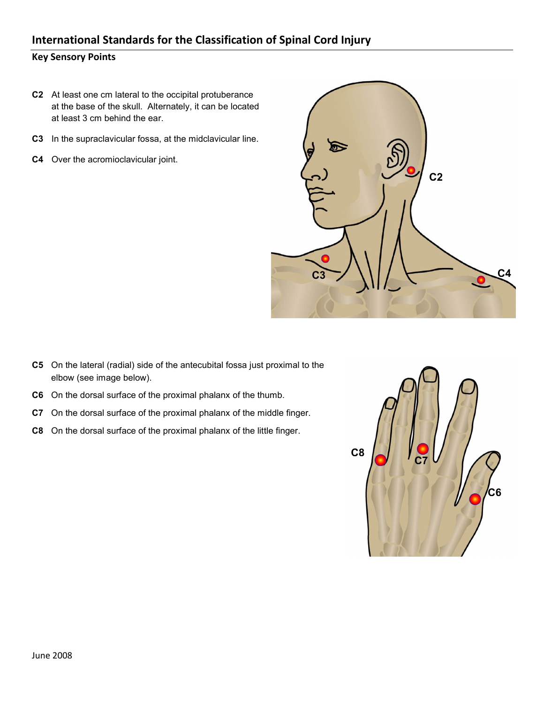- **C2** At least one cm lateral to the occipital protuberance at the base of the skull. Alternately, it can be located at least 3 cm behind the ear.
- **C3** In the supraclavicular fossa, at the midclavicular line.
- **C4** Over the acromioclavicular joint.



- **C5** On the lateral (radial) side of the antecubital fossa just proximal to the elbow (see image below).
- **C6** On the dorsal surface of the proximal phalanx of the thumb.
- **C7** On the dorsal surface of the proximal phalanx of the middle finger.
- **C8** On the dorsal surface of the proximal phalanx of the little finger.

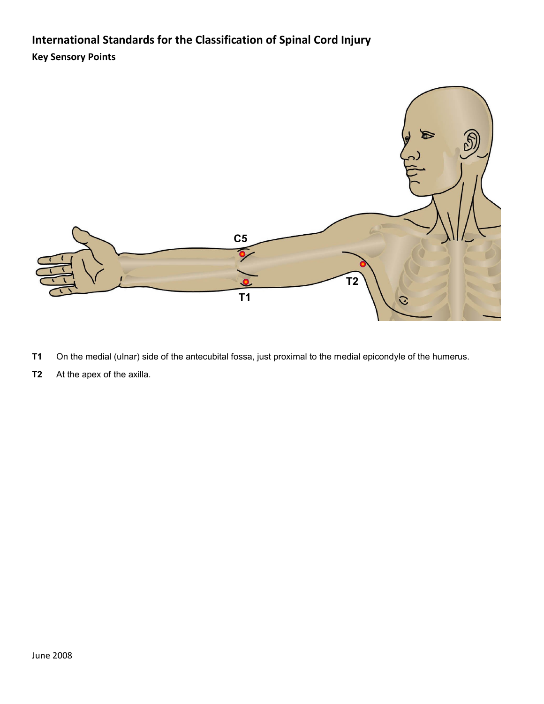

- **T1** On the medial (ulnar) side of the antecubital fossa, just proximal to the medial epicondyle of the humerus.
- **T2** At the apex of the axilla.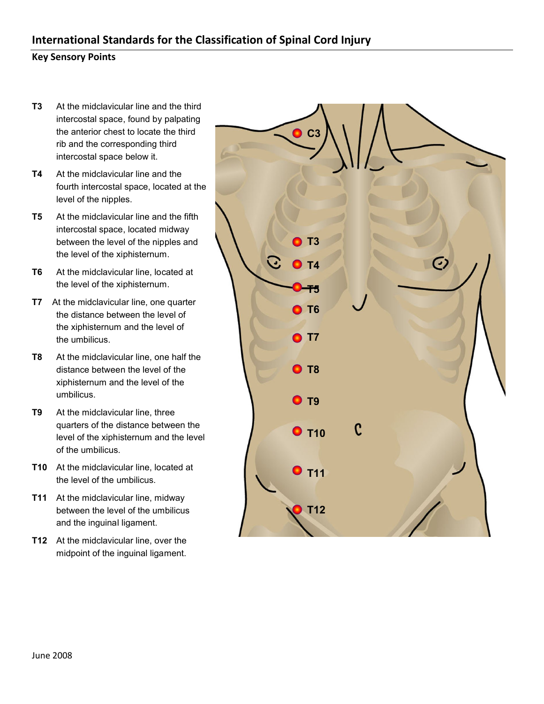- **T3** At the midclavicular line and the third intercostal space, found by palpating the anterior chest to locate the third rib and the corresponding third intercostal space below it.
- **T4** At the midclavicular line and the fourth intercostal space, located at the level of the nipples.
- **T5** At the midclavicular line and the fifth intercostal space, located midway between the level of the nipples and the level of the xiphisternum.
- **T6** At the midclavicular line, located at the level of the xiphisternum.
- **T7** At the midclavicular line, one quarter the distance between the level of the xiphisternum and the level of the umbilicus.
- **T8** At the midclavicular line, one half the distance between the level of the xiphisternum and the level of the umbilicus.
- **T9** At the midclavicular line, three quarters of the distance between the level of the xiphisternum and the level of the umbilicus.
- **T10** At the midclavicular line, located at the level of the umbilicus.
- **T11** At the midclavicular line, midway between the level of the umbilicus and the inguinal ligament.
- **T12** At the midclavicular line, over the midpoint of the inguinal ligament.

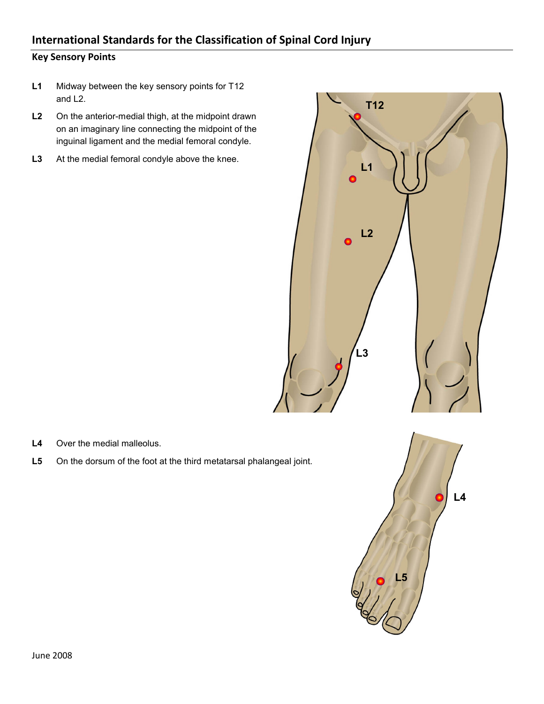- **L1** Midway between the key sensory points for T12 and L2.
- **L2** On the anterior-medial thigh, at the midpoint drawn on an imaginary line connecting the midpoint of the inguinal ligament and the medial femoral condyle.
- **L3** At the medial femoral condyle above the knee.



- **L4** Over the medial malleolus.
- L5 On the dorsum of the foot at the third metatarsal phalangeal joint.

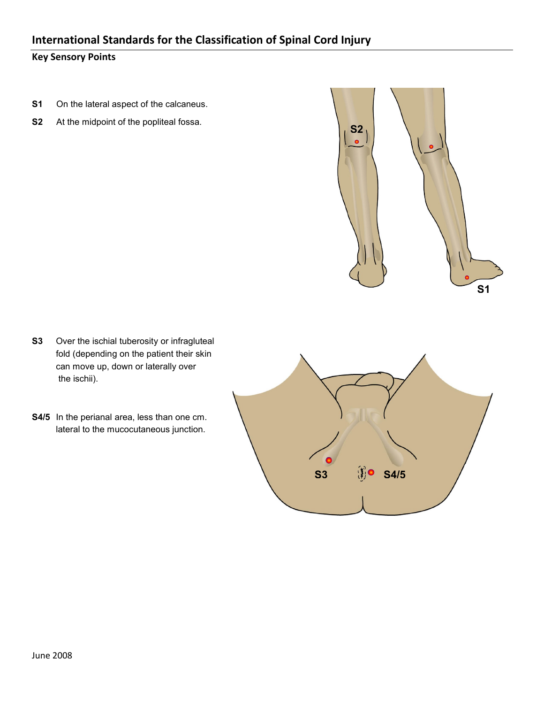### **Key Sensory Points**

- **S1** On the lateral aspect of the calcaneus.
- **S2** At the midpoint of the popliteal fossa.



**S2**

- **S3** Over the ischial tuberosity or infragluteal fold (depending on the patient their skin can move up, down or laterally over the ischii).
- **S4/5** In the perianal area, less than one cm. lateral to the mucocutaneous junction.